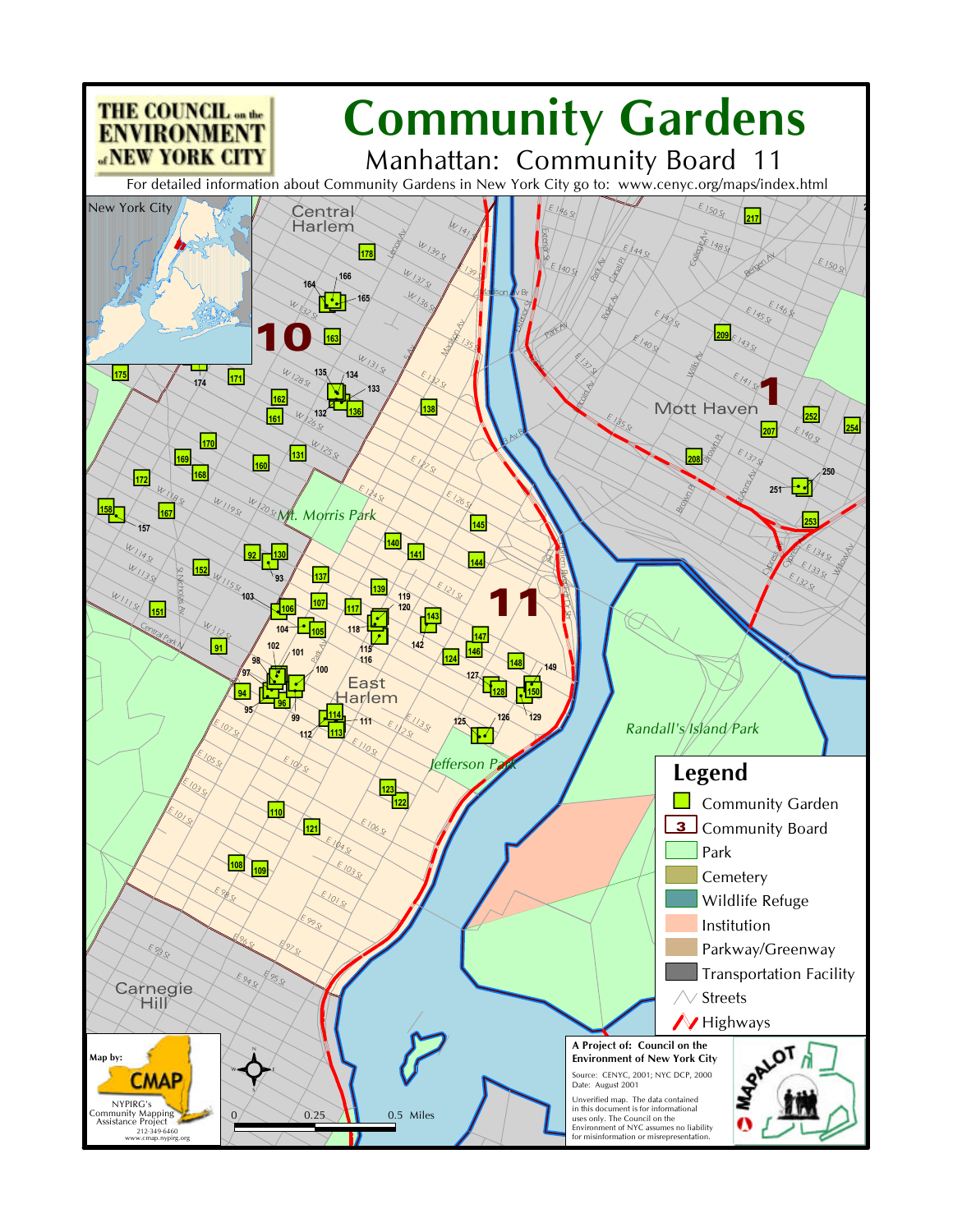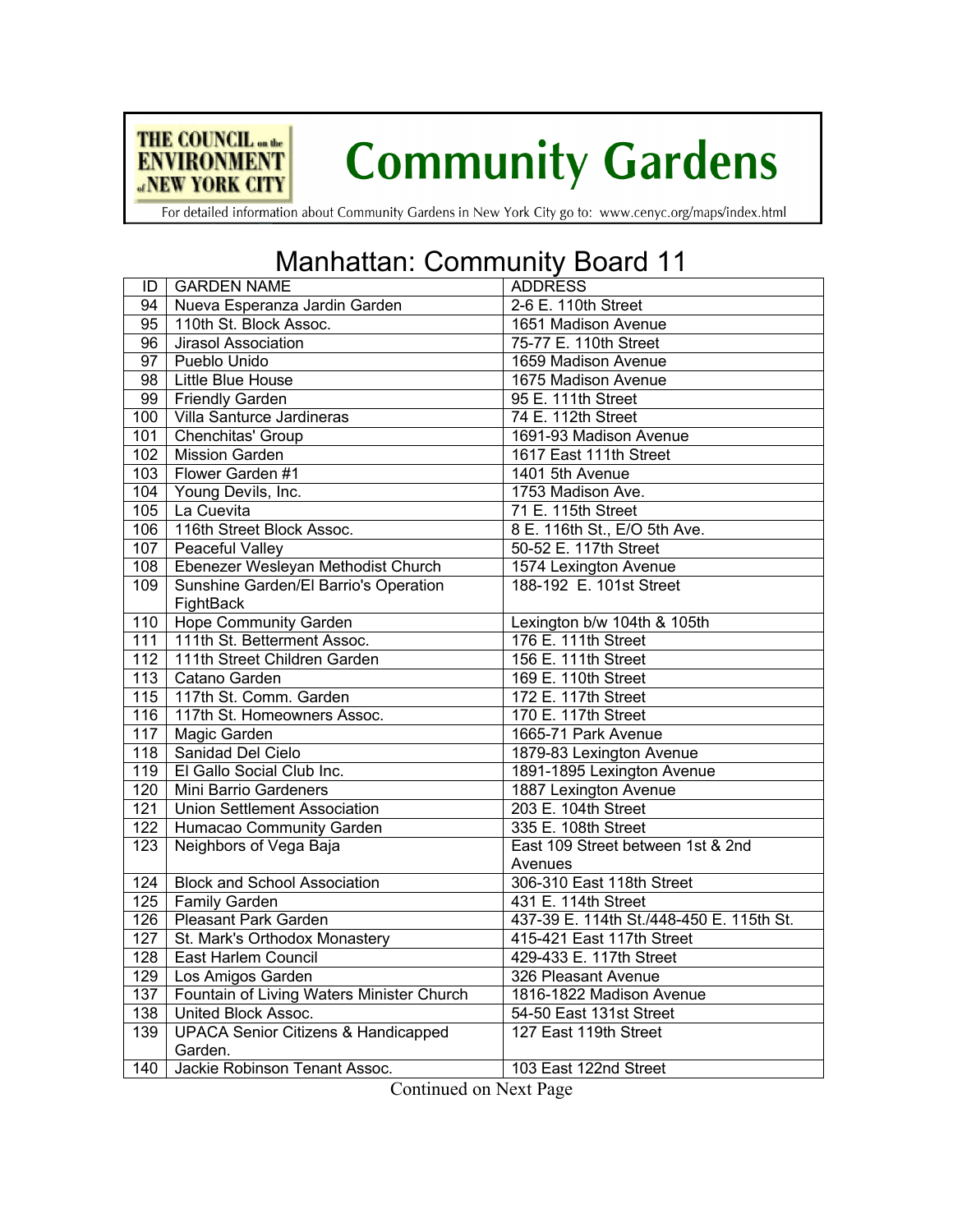

## **Community Gardens**

For detailed information about Community Gardens in New York City go to: www.cenyc.org/maps/index.html

## Manhattan: Community Board 11

| ID               | <b>GARDEN NAME</b>                              | <b>ADDRESS</b>                           |
|------------------|-------------------------------------------------|------------------------------------------|
| 94               | Nueva Esperanza Jardin Garden                   | 2-6 E. 110th Street                      |
| 95               | 110th St. Block Assoc.                          | 1651 Madison Avenue                      |
| $\overline{96}$  | <b>Jirasol Association</b>                      | 75-77 E. 110th Street                    |
| $\overline{97}$  | Pueblo Unido                                    | 1659 Madison Avenue                      |
| 98               | Little Blue House                               | 1675 Madison Avenue                      |
| 99               | <b>Friendly Garden</b>                          | 95 E. 111th Street                       |
|                  | 100   Villa Santurce Jardineras                 | 74 E. 112th Street                       |
| 101              | Chenchitas' Group                               | 1691-93 Madison Avenue                   |
| 102              | <b>Mission Garden</b>                           | 1617 East 111th Street                   |
| 103              | Flower Garden #1                                | 1401 5th Avenue                          |
|                  | 104 Young Devils, Inc.                          | 1753 Madison Ave.                        |
| 105              | La Cuevita                                      | 71 E. 115th Street                       |
| 106              | 116th Street Block Assoc.                       | 8 E. 116th St., E/O 5th Ave.             |
| 107              | Peaceful Valley                                 | 50-52 E. 117th Street                    |
| 108              | Ebenezer Wesleyan Methodist Church              | 1574 Lexington Avenue                    |
| 109              | Sunshine Garden/El Barrio's Operation           | 188-192 E. 101st Street                  |
|                  | FightBack                                       |                                          |
| 110              | <b>Hope Community Garden</b>                    | Lexington b/w 104th & 105th              |
|                  | 111 111th St. Betterment Assoc.                 | 176 E. 111th Street                      |
| 112              | 111th Street Children Garden                    | 156 E. 111th Street                      |
| 113              | Catano Garden                                   | 169 E. 110th Street                      |
|                  | 115   117th St. Comm. Garden                    | 172 E. 117th Street                      |
| 116              | 117th St. Homeowners Assoc.                     | 170 E. 117th Street                      |
| 117              | <b>Magic Garden</b>                             | 1665-71 Park Avenue                      |
| 118              | Sanidad Del Cielo                               | 1879-83 Lexington Avenue                 |
|                  | 119   El Gallo Social Club Inc.                 | 1891-1895 Lexington Avenue               |
| 120              | Mini Barrio Gardeners                           | 1887 Lexington Avenue                    |
| 121              | <b>Union Settlement Association</b>             | 203 E. 104th Street                      |
| 122              | Humacao Community Garden                        | 335 E. 108th Street                      |
| $\overline{123}$ | Neighbors of Vega Baja                          | East 109 Street between 1st & 2nd        |
|                  |                                                 | Avenues                                  |
| 124              | <b>Block and School Association</b>             | 306-310 East 118th Street                |
| 125              | <b>Family Garden</b>                            | 431 E. 114th Street                      |
|                  | 126   Pleasant Park Garden                      | 437-39 E. 114th St./448-450 E. 115th St. |
| 127              | St. Mark's Orthodox Monastery                   | 415-421 East 117th Street                |
| $\overline{128}$ | East Harlem Council                             | 429-433 E. 117th Street                  |
| 129              | Los Amigos Garden                               | 326 Pleasant Avenue                      |
|                  | 137   Fountain of Living Waters Minister Church | 1816-1822 Madison Avenue                 |
| 138              | United Block Assoc.                             | 54-50 East 131st Street                  |
| 139              | <b>UPACA Senior Citizens &amp; Handicapped</b>  | 127 East 119th Street                    |
|                  | Garden.                                         |                                          |
| $\overline{140}$ | Jackie Robinson Tenant Assoc.                   | 103 East 122nd Street                    |

Continued on Next Page